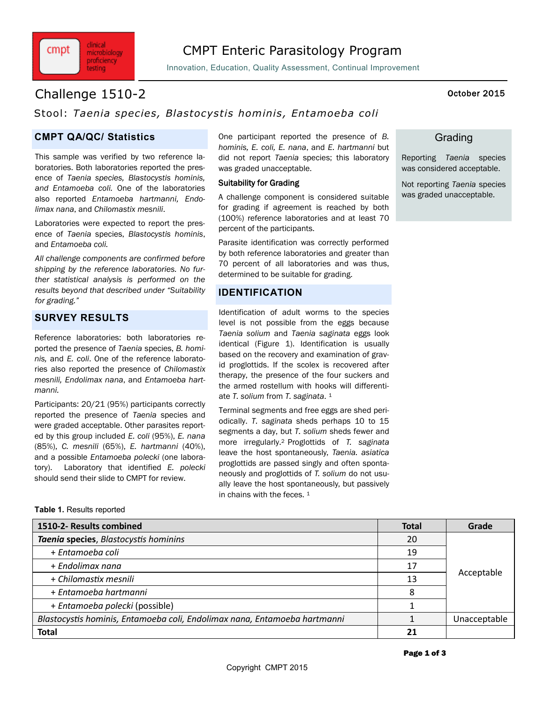

Innovation, Education, Quality Assessment, Continual Improvement

# Challenge 1510-2 October 2015

clinical

microbiology proficiency testing

cmpt

## Stool: *Taenia species, Blastocystis hominis , Entamoeba coli*

### **CMPT QA/QC/ Statistics**

This sample was verified by two reference laboratories. Both laboratories reported the presence of *Taenia species, Blastocystis hominis, and Entamoeba coli.* One of the laboratories also reported *Entamoeba hartmanni, Endolimax nana*, and *Chilomastix mesnili*.

Laboratories were expected to report the presence of *Taenia* species, *Blastocystis hominis*, and *Entamoeba coli.*

*All challenge components are confirmed before shipping by the reference laboratories. No further statistical analysis is performed on the results beyond that described under "Suitability for grading."*

### **SURVEY RESULTS**

Reference laboratories: both laboratories reported the presence of *Taenia* species, *B. hominis,* and *E. coli*. One of the reference laboratories also reported the presence of *Chilomastix mesnili, Endolimax nana*, and *Entamoeba hartmanni.*

Participants: 20/21 (95%) participants correctly reported the presence of *Taenia* species and were graded acceptable. Other parasites reported by this group included *E. coli* (95%), *E. nana*  (85%), *C. mesnili* (65%), *E. hartmanni* (40%), and a possible *Entamoeba polecki* (one laboratory). Laboratory that identified *E. polecki*  should send their slide to CMPT for review.

One participant reported the presence of *B. hominis, E. coli, E. nana*, and *E. hartmanni* but did not report *Taenia* species; this laboratory was graded unacceptable.

#### Suitability for Grading

A challenge component is considered suitable for grading if agreement is reached by both (100%) reference laboratories and at least 70 percent of the participants.

Parasite identification was correctly performed by both reference laboratories and greater than 70 percent of all laboratories and was thus, determined to be suitable for grading.

### **IDENTIFICATION**

Identification of adult worms to the species level is not possible from the eggs because *Taenia solium* and *Taenia saginata* eggs look identical (Figure 1). Identification is usually based on the recovery and examination of gravid proglottids. If the scolex is recovered after therapy, the presence of the four suckers and the armed rostellum with hooks will differentiate *T. solium* from *T. saginata*. 1

Terminal segments and free eggs are shed periodically. *T. saginata* sheds perhaps 10 to 15 segments a day, but *T. solium* sheds fewer and more irregularly.2 Proglottids of *T. saginata*  leave the host spontaneously, *Taenia. asiatica*  proglottids are passed singly and often spontaneously and proglottids of *T. solium* do not usually leave the host spontaneously, but passively in chains with the feces. 1

**Table 1.** Results reported

| 1510-2- Results combined                                                  | <b>Total</b> | Grade        |
|---------------------------------------------------------------------------|--------------|--------------|
| Taenia species, Blastocystis hominins                                     | 20           | Acceptable   |
| + Entamoeba coli                                                          | 19           |              |
| + Endolimax nana                                                          | 17           |              |
| + Chilomastix mesnili                                                     | 13           |              |
| + Entamoeba hartmanni                                                     | 8            |              |
| + Entamoeba polecki (possible)                                            |              |              |
| Blastocystis hominis, Entamoeba coli, Endolimax nana, Entamoeba hartmanni |              | Unacceptable |
| <b>Total</b>                                                              | 21           |              |

### **Grading**

Reporting *Taenia* species was considered acceptable.

Not reporting *Taenia* species was graded unacceptable.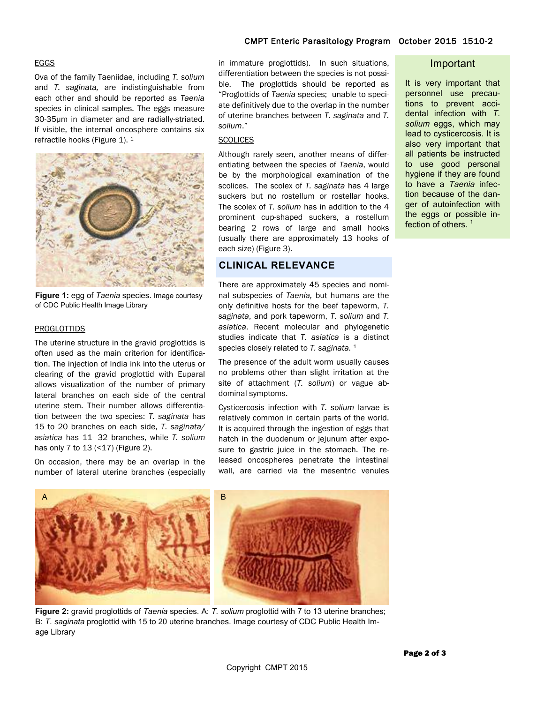#### EGGS

Ova of the family Taeniidae, including *T. solium* and *T. saginata,* are indistinguishable from each other and should be reported as *Taenia*  species in clinical samples. The eggs measure 30-35µm in diameter and are radially-striated. If visible, the internal oncosphere contains six refractile hooks (Figure 1). <sup>1</sup>



**Figure 1:** egg of *Taenia* species. Image courtesy of CDC Public Health Image Library

#### PROGLOTTIDS

The uterine structure in the gravid proglottids is often used as the main criterion for identification. The injection of India ink into the uterus or clearing of the gravid proglottid with Euparal allows visualization of the number of primary lateral branches on each side of the central uterine stem. Their number allows differentiation between the two species: *T. saginata* has 15 to 20 branches on each side, *T. saginata/ asiatica* has 11- 32 branches, while *T. solium*  has only 7 to 13 (<17) (Figure 2).

On occasion, there may be an overlap in the number of lateral uterine branches (especially

# CMPT Enteric Parasitology Program October 2015 1510-2

#### Important

It is very important that personnel use precautions to prevent accidental infection with *T. solium* eggs, which may lead to cysticercosis. It is also very important that all patients be instructed to use good personal hygiene if they are found to have a *Taenia* infection because of the danger of autoinfection with the eggs or possible infection of others.<sup>1</sup>

### **CLINICAL RELEVANCE** each size) (Figure 3).

*solium*." **SCOLICES** 

There are approximately 45 species and nominal subspecies of *Taenia,* but humans are the only definitive hosts for the beef tapeworm, *T. saginata*, and pork tapeworm, *T. solium* and *T. asiatica*. Recent molecular and phylogenetic studies indicate that *T. asiatica* is a distinct species closely related to *T. saginata.* <sup>1</sup>

in immature proglottids). In such situations, differentiation between the species is not possible. The proglottids should be reported as "Proglottids of *Taenia* species; unable to speciate definitively due to the overlap in the number of uterine branches between *T. saginata* and *T.* 

Although rarely seen, another means of differentiating between the species of *Taenia*, would be by the morphological examination of the scolices. The scolex of *T. saginata* has 4 large suckers but no rostellum or rostellar hooks. The scolex of *T. solium* has in addition to the 4 prominent cup-shaped suckers, a rostellum bearing 2 rows of large and small hooks (usually there are approximately 13 hooks of

The presence of the adult worm usually causes no problems other than slight irritation at the site of attachment (*T. solium*) or vague abdominal symptoms.

Cysticercosis infection with *T. solium* larvae is relatively common in certain parts of the world. It is acquired through the ingestion of eggs that hatch in the duodenum or jejunum after exposure to gastric juice in the stomach. The released oncospheres penetrate the intestinal wall, are carried via the mesentric venules



**Figure 2:** gravid proglottids of *Taenia* species. A: *T. solium* proglottid with 7 to 13 uterine branches; B: *T. saginata* proglottid with 15 to 20 uterine branches. Image courtesy of CDC Public Health Image Library